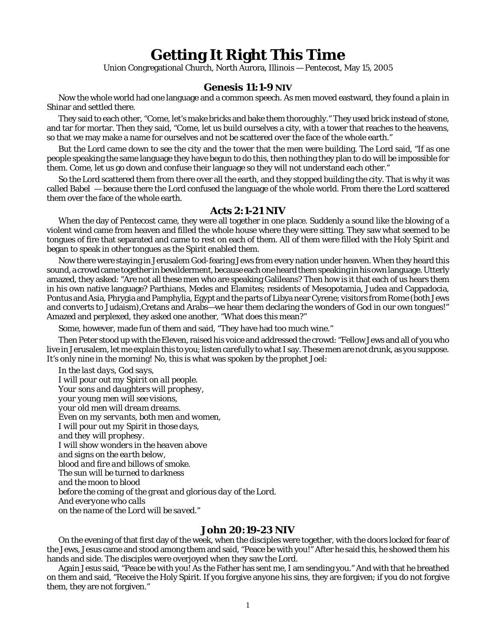## **Getting It Right This Time**

Union Congregational Church, North Aurora, Illinois — Pentecost, May 15, 2005

## **Genesis 11:1-9 NIV**

Now the whole world had one language and a common speech. As men moved eastward, they found a plain in Shinar and settled there.

They said to each other, "Come, let's make bricks and bake them thoroughly." They used brick instead of stone, and tar for mortar. Then they said, "Come, let us build ourselves a city, with a tower that reaches to the heavens, so that we may make a name for ourselves and not be scattered over the face of the whole earth."

But the Lord came down to see the city and the tower that the men were building. The Lord said, "If as one people speaking the same language they have begun to do this, then nothing they plan to do will be impossible for them. Come, let us go down and confuse their language so they will not understand each other."

So the Lord scattered them from there over all the earth, and they stopped building the city. That is why it was called Babel — because there the Lord confused the language of the whole world. From there the Lord scattered them over the face of the whole earth.

## **Acts 2:1-21 NIV**

When the day of Pentecost came, they were all together in one place. Suddenly a sound like the blowing of a violent wind came from heaven and filled the whole house where they were sitting. They saw what seemed to be tongues of fire that separated and came to rest on each of them. All of them were filled with the Holy Spirit and began to speak in other tongues as the Spirit enabled them.

Now there were staying in Jerusalem God-fearing Jews from every nation under heaven. When they heard this sound, a crowd came together in bewilderment, because each one heard them speaking in his own language. Utterly amazed, they asked: "Are not all these men who are speaking Galileans? Then how is it that each of us hears them in his own native language? Parthians, Medes and Elamites; residents of Mesopotamia, Judea and Cappadocia, Pontus and Asia, Phrygia and Pamphylia, Egypt and the parts of Libya near Cyrene; visitors from Rome (both Jews and converts to Judaism),Cretans and Arabs—we hear them declaring the wonders of God in our own tongues!" Amazed and perplexed, they asked one another, "What does this mean?"

Some, however, made fun of them and said, "They have had too much wine."

Then Peter stood up with the Eleven, raised his voice and addressed the crowd: "Fellow Jews and all of you who live in Jerusalem, let me explain this to you; listen carefully to what I say. These men are not drunk, as you suppose. It's only nine in the morning! No, this is what was spoken by the prophet Joel:

*In the last days, God says, I will pour out my Spirit on all people. Your sons and daughters will prophesy, your young men will see visions, your old men will dream dreams. Even on my servants, both men and women, I will pour out my Spirit in those days, and they will prophesy. I will show wonders in the heaven above and signs on the earth below, blood and fire and billows of smoke. The sun will be turned to darkness and the moon to blood before the coming of the great and glorious day of the Lord. And everyone who calls on the name of the Lord will be saved.*"

## **John 20:19-23 NIV**

On the evening of that first day of the week, when the disciples were together, with the doors locked for fear of the Jews, Jesus came and stood among them and said, "Peace be with you!" After he said this, he showed them his hands and side. The disciples were overjoyed when they saw the Lord.

Again Jesus said, "Peace be with you! As the Father has sent me, I am sending you." And with that he breathed on them and said, "Receive the Holy Spirit. If you forgive anyone his sins, they are forgiven; if you do not forgive them, they are not forgiven."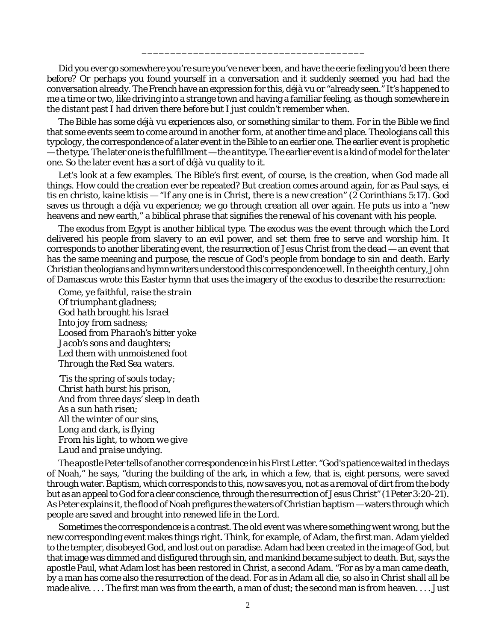Did you ever go somewhere you're sure you've never been, and have the eerie feeling you'd been there before? Or perhaps you found yourself in a conversation and it suddenly seemed you had had the conversation already. The French have an expression for this, *déjà vu* or "already seen." It's happened to me a time or two, like driving into a strange town and having a familiar feeling, as though somewhere in the distant past I had driven there before but I just couldn't remember when.

\_\_\_\_\_\_\_\_\_\_\_\_\_\_\_\_\_\_\_\_\_\_\_\_\_\_\_\_\_\_\_\_\_\_\_\_\_\_\_

The Bible has some *déjà vu* experiences also, or something similar to them. For in the Bible we find that some events seem to come around in another form, at another time and place. Theologians call this *typology*, the correspondence of a later event in the Bible to an earlier one. The earlier event is prophetic — the *type*. The later one is the fulfillment — the *antitype*. The earlier event is a kind of model for the later one. So the later event has a sort of *déjà vu* quality to it.

Let's look at a few examples. The Bible's first event, of course, is the creation, when God made all things. How could the creation ever be repeated? But creation comes around again, for as Paul says, *ei tis en christo, kaine ktisis* — "If any one is in Christ, there is a new creation" (2 Corinthians 5:17). God saves us through a *déjà vu* experience; we go through creation all over again. He puts us into a "new heavens and new earth," a biblical phrase that signifies the renewal of his covenant with his people.

The exodus from Egypt is another biblical type. The exodus was the event through which the Lord delivered his people from slavery to an evil power, and set them free to serve and worship him. It corresponds to another liberating event, the resurrection of Jesus Christ from the dead — an event that has the same meaning and purpose, the rescue of God's people from bondage to sin and death. Early Christian theologians and hymn writers understood this correspondence well. In the eighth century, John of Damascus wrote this Easter hymn that uses the imagery of the exodus to describe the resurrection:

*Come, ye faithful, raise the strain Of triumphant gladness; God hath brought his Israel Into joy from sadness; Loosed from Pharaoh's bitter yoke Jacob's sons and daughters; Led them with unmoistened foot Through the Red Sea waters.*

*'Tis the spring of souls today; Christ hath burst his prison, And from three days' sleep in death As a sun hath risen; All the winter of our sins, Long and dark, is flying From his light, to whom we give Laud and praise undying.*

The apostle Peter tells of another correspondence in his First Letter. "God's patience waited in the days of Noah," he says, "during the building of the ark, in which a few, that is, eight persons, were saved through water. Baptism, which corresponds to this, now saves you, not as a removal of dirt from the body but as an appeal to God for a clear conscience, through the resurrection of Jesus Christ" (1 Peter 3:20-21). As Peter explains it, the flood of Noah prefigures the waters of Christian baptism — waters through which people are saved and brought into renewed life in the Lord.

Sometimes the correspondence is a contrast. The old event was where something went wrong, but the new corresponding event makes things right. Think, for example, of Adam, the first man. Adam yielded to the tempter, disobeyed God, and lost out on paradise. Adam had been created in the image of God, but that image was dimmed and disfigured through sin, and mankind became subject to death. But, says the apostle Paul, what Adam lost has been restored in Christ, a second Adam. "For as by a man came death, by a man has come also the resurrection of the dead. For as in Adam all die, so also in Christ shall all be made alive. . . . The first man was from the earth, a man of dust; the second man is from heaven. . . . Just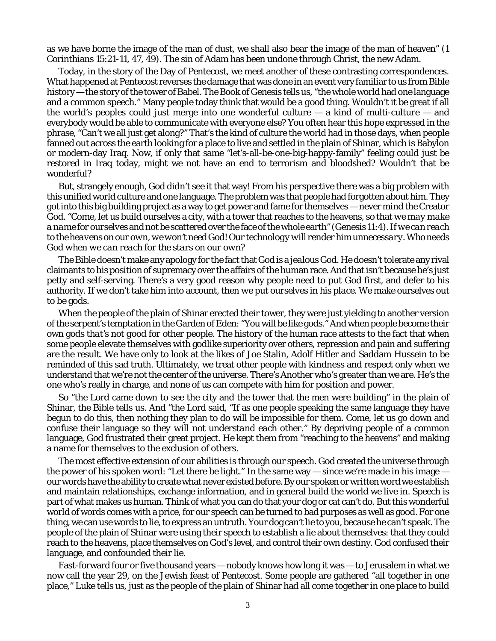as we have borne the image of the man of dust, we shall also bear the image of the man of heaven" (1 Corinthians 15:21-11, 47, 49). The sin of Adam has been undone through Christ, the new Adam.

Today, in the story of the Day of Pentecost, we meet another of these contrasting correspondences. What happened at Pentecost reverses the damage that was done in an event very familiar to us from Bible history — the story of the tower of Babel. The Book of Genesis tells us, "the whole world had one language and a common speech." Many people today think that would be a *good* thing. Wouldn't it be great if all the world's peoples could just merge into one wonderful culture — a kind of *multi-culture* — and everybody would be able to communicate with everyone else? You often hear this hope expressed in the phrase, "Can't we all just get along?" That's the kind of culture the world had in those days, when people fanned out across the earth looking for a place to live and settled in the plain of Shinar, which is Babylon or modern-day Iraq. Now, if only that same "let's-all-be-one-big-happy-family" feeling could just be restored in Iraq today, might we not have an end to terrorism and bloodshed? Wouldn't that be wonderful?

But, strangely enough, God didn't see it that way! From his perspective there was a big problem with this unified world culture and one language. The problem was that people had forgotten about *him.* They got into this big building project as a way to get power and fame for themselves — never mind the Creator God. "Come, let us build ourselves a city, with a tower that reaches to the heavens, so that *we may make a name for ourselves* and not be scattered over the face of the whole earth" (Genesis 11:4). *If we can reach to the heavens on our own, we won't need God! Our technology will render him unnecessary. Who needs God when we can reach for the stars on our own?*

The Bible doesn't make any apology for the fact that God is a *jealous God.* He doesn't tolerate any rival claimants to his position of supremacy over the affairs of the human race. And that isn't because he's just petty and self-serving. There's a very good reason why people need to put God first, and defer to his authority. If we don't take him into account, then *we put ourselves in his place.* We make ourselves out to be gods.

When the people of the plain of Shinar erected their tower, they were just yielding to another version of the serpent's temptation in the Garden of Eden: "You will be like gods." And when people become their own gods *that's not good for other people.* The history of the human race attests to the fact that when some people elevate themselves with godlike superiority over others, repression and pain and suffering are the result. We have only to look at the likes of Joe Stalin, Adolf Hitler and Saddam Hussein to be reminded of this sad truth. Ultimately, we treat other people with kindness and respect only when we understand that we're not the center of the universe. There's Another who's greater than we are. He's the one who's really in charge, and none of us can compete with him for position and power.

So "the Lord came down to see the city and the tower that the men were building" in the plain of Shinar, the Bible tells us. And "the Lord said, "If as one people speaking the same language they have begun to do this, then nothing they plan to do will be impossible for them. Come, let us go down and confuse their language *so they will not understand each other.*" By depriving people of a common language, God frustrated their great project. He kept them from "reaching to the heavens" and making a name for themselves to the exclusion of others.

The most effective extension of our abilities is through our speech. God created the universe through the power of his spoken word: "Let there be light." In the same way — since we're made in his image our words have the ability to create what never existed before. By our spoken or written word we establish and maintain relationships, exchange information, and in general build the world we live in. Speech is part of what makes us human. Think of what you can do that your dog or cat can't do. But this wonderful world of words comes with a price, for our speech can be turned to bad purposes as well as good. For one thing, we can use words to *lie*, to express an untruth. Your dog can't lie to you, because he can't speak. The people of the plain of Shinar were using their speech to establish a lie about themselves: that they could reach to the heavens, place themselves on God's level, and control their own destiny. God confused their language, and confounded their lie.

Fast-forward four or five thousand years — nobody knows how long it was — to Jerusalem in what we now call the year 29, on the Jewish feast of Pentecost. Some people are gathered "all together in one place," Luke tells us, just as the people of the plain of Shinar had all come together in one place to build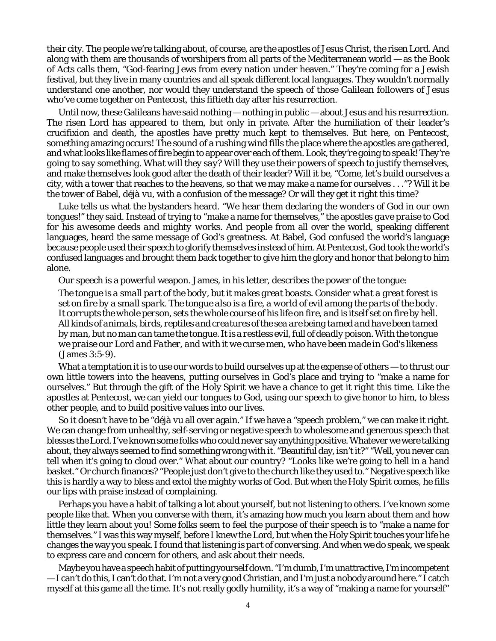their city. The people we're talking about, of course, are the apostles of Jesus Christ, the risen Lord. And along with them are thousands of worshipers from all parts of the Mediterranean world — as the Book of Acts calls them, "God-fearing Jews from every nation under heaven." They're coming for a Jewish festival, but they live in many countries and all speak different local languages. They wouldn't normally understand one another, nor would they understand the speech of those Galilean followers of Jesus who've come together on Pentecost, this fiftieth day after his resurrection.

Until now, these Galileans have said nothing — nothing in public — about Jesus and his resurrection. The risen Lord has appeared to them, but only in private. After the humiliation of their leader's crucifixion and death, the apostles have pretty much kept to themselves. But here, on Pentecost, something amazing occurs! The sound of a rushing wind fills the place where the apostles are gathered, and what looks like flames of fire begin to appear over each of them. *Look, they're going to speak! They're going to say something. What will they say?* Will they use their powers of speech to justify themselves, and make *themselves* look good after the death of their leader? Will it be, "Come, let's build ourselves a city, with a tower that reaches to the heavens, so that we may make a name for ourselves . . ."? Will it be the tower of Babel, *déjà vu*, with a confusion of the message? Or will they get it right this time?

Luke tells us what the bystanders heard. "We hear them declaring *the wonders of God* in our own tongues!" they said. Instead of trying to "make a name for themselves," the apostles *gave praise to God for his awesome deeds and mighty works.* And people from all over the world, speaking different languages, heard the same message of God's greatness. At Babel, God confused the world's language because people used their speech to glorify themselves instead of him. At Pentecost, God took the world's confused languages and brought them back together to give him the glory and honor that belong to him alone.

Our speech is a powerful weapon. James, in his letter, describes the power of the tongue:

*The tongue is a small part of the body, but it makes great boasts. Consider what a great forest is set on fire by a small spark. The tongue also is a fire, a world of evil among the parts of the body. It corrupts the whole person, sets the whole course of his life on fire, and is itself set on fire by hell. All kinds of animals, birds, reptiles and creatures of the sea are being tamed and have been tamed by man, but no man can tame the tongue. It is a restless evil, full of deadly poison. With the tongue we praise our Lord and Father, and with it we curse men, who have been made in God's likeness* (James 3:5-9).

What a temptation it is to use our words to build ourselves up at the expense of others — to thrust our own little towers into the heavens, putting ourselves in God's place and trying to "make a name for ourselves." But through the gift of the Holy Spirit we have a chance to *get it right this time*. Like the apostles at Pentecost, we can yield our tongues to God, using our speech to give honor to him, to bless other people, and to build positive values into our lives.

So it doesn't have to be "*déjà vu* all over again." If we have a "speech problem," we can make it right. We can change from unhealthy, self-serving or negative speech to wholesome and generous speech that blesses the Lord. I've known some folks who could never say anything positive. Whatever we were talking about, they always seemed to find something wrong with it. "Beautiful day, isn't it?" "Well, you never can tell when it's going to cloud over." What about our country? "Looks like we're going to hell in a hand basket." Or church finances? "People just don't give to the church like they used to." Negative speech like this is hardly a way to bless and extol the mighty works of God. But when the Holy Spirit comes, he fills our lips with praise instead of complaining.

Perhaps you have a habit of talking a lot about yourself, but not listening to others. I've known some people like that. When you converse with them, it's amazing how much you learn about them and how little they learn about you! Some folks seem to feel the purpose of their speech is to "make a name for themselves." I was this way myself, before I knew the Lord, but when the Holy Spirit touches your life he changes the way you speak. I found that *listening is part of conversing.* And when we do speak, we speak to express care and concern for others, and ask about *their* needs.

Maybe you have a speech habit of putting yourself down. "I'm dumb, I'm unattractive, I'm incompetent — I can't do this, I can't do that. I'm not a very good Christian, and I'm just a nobody around here." I catch myself at this game all the time. It's not really godly humility, it's a way of "making a name for yourself"